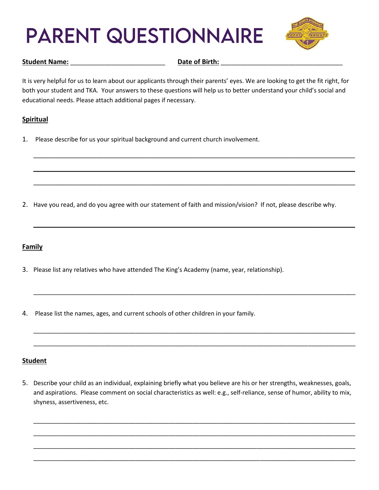# **PARENT QUESTIONNAIRE**



#### Student Name: **Name: Example 2 Date of Birth:**  $\blacksquare$

It is very helpful for us to learn about our applicants through their parents' eyes. We are looking to get the fit right, for both your student and TKA. Your answers to these questions will help us to better understand your child's social and educational needs. Please attach additional pages if necessary.

\_\_\_\_\_\_\_\_\_\_\_\_\_\_\_\_\_\_\_\_\_\_\_\_\_\_\_\_\_\_\_\_\_\_\_\_\_\_\_\_\_\_\_\_\_\_\_\_\_\_\_\_\_\_\_\_\_\_\_\_\_\_\_\_\_\_\_\_\_\_\_\_\_\_\_\_\_\_\_\_\_\_\_\_\_\_\_

\_\_\_\_\_\_\_\_\_\_\_\_\_\_\_\_\_\_\_\_\_\_\_\_\_\_\_\_\_\_\_\_\_\_\_\_\_\_\_\_\_\_\_\_\_\_\_\_\_\_\_\_\_\_\_\_\_\_\_\_\_\_\_\_\_\_\_\_\_\_\_\_\_\_\_\_\_\_\_\_\_\_\_\_\_\_\_

\_\_\_\_\_\_\_\_\_\_\_\_\_\_\_\_\_\_\_\_\_\_\_\_\_\_\_\_\_\_\_\_\_\_\_\_\_\_\_\_\_\_\_\_\_\_\_\_\_\_\_\_\_\_\_\_\_\_\_\_\_\_\_\_\_\_\_\_\_\_\_\_\_\_\_\_\_\_\_\_\_\_\_\_\_\_\_

\_\_\_\_\_\_\_\_\_\_\_\_\_\_\_\_\_\_\_\_\_\_\_\_\_\_\_\_\_\_\_\_\_\_\_\_\_\_\_\_\_\_\_\_\_\_\_\_\_\_\_\_\_\_\_\_\_\_\_\_\_\_\_\_\_\_\_\_\_\_\_\_\_\_\_\_\_\_\_\_\_\_\_\_\_\_\_

\_\_\_\_\_\_\_\_\_\_\_\_\_\_\_\_\_\_\_\_\_\_\_\_\_\_\_\_\_\_\_\_\_\_\_\_\_\_\_\_\_\_\_\_\_\_\_\_\_\_\_\_\_\_\_\_\_\_\_\_\_\_\_\_\_\_\_\_\_\_\_\_\_\_\_\_\_\_\_\_\_\_\_\_\_\_\_\_\_\_\_\_\_\_\_

\_\_\_\_\_\_\_\_\_\_\_\_\_\_\_\_\_\_\_\_\_\_\_\_\_\_\_\_\_\_\_\_\_\_\_\_\_\_\_\_\_\_\_\_\_\_\_\_\_\_\_\_\_\_\_\_\_\_\_\_\_\_\_\_\_\_\_\_\_\_\_\_\_\_\_\_\_\_\_\_\_\_\_\_\_\_\_\_\_\_\_\_\_\_\_

\_\_\_\_\_\_\_\_\_\_\_\_\_\_\_\_\_\_\_\_\_\_\_\_\_\_\_\_\_\_\_\_\_\_\_\_\_\_\_\_\_\_\_\_\_\_\_\_\_\_\_\_\_\_\_\_\_\_\_\_\_\_\_\_\_\_\_\_\_\_\_\_\_\_\_\_\_\_\_\_\_\_\_\_\_\_\_\_\_\_\_\_\_\_\_

# **Spiritual**

1. Please describe for us your spiritual background and current church involvement.

2. Have you read, and do you agree with our statement of faith and mission/vision? If not, please describe why.

# **Family**

- 3. Please list any relatives who have attended The King's Academy (name, year, relationship).
- 4. Please list the names, ages, and current schools of other children in your family.

# **Student**

5. Describe your child as an individual, explaining briefly what you believe are his or her strengths, weaknesses, goals, and aspirations. Please comment on social characteristics as well: e.g., self-reliance, sense of humor, ability to mix, shyness, assertiveness, etc.

\_\_\_\_\_\_\_\_\_\_\_\_\_\_\_\_\_\_\_\_\_\_\_\_\_\_\_\_\_\_\_\_\_\_\_\_\_\_\_\_\_\_\_\_\_\_\_\_\_\_\_\_\_\_\_\_\_\_\_\_\_\_\_\_\_\_\_\_\_\_\_\_\_\_\_\_\_\_\_\_\_\_\_\_\_\_\_\_\_\_\_\_\_\_\_

\_\_\_\_\_\_\_\_\_\_\_\_\_\_\_\_\_\_\_\_\_\_\_\_\_\_\_\_\_\_\_\_\_\_\_\_\_\_\_\_\_\_\_\_\_\_\_\_\_\_\_\_\_\_\_\_\_\_\_\_\_\_\_\_\_\_\_\_\_\_\_\_\_\_\_\_\_\_\_\_\_\_\_\_\_\_\_\_\_\_\_\_\_\_\_

\_\_\_\_\_\_\_\_\_\_\_\_\_\_\_\_\_\_\_\_\_\_\_\_\_\_\_\_\_\_\_\_\_\_\_\_\_\_\_\_\_\_\_\_\_\_\_\_\_\_\_\_\_\_\_\_\_\_\_\_\_\_\_\_\_\_\_\_\_\_\_\_\_\_\_\_\_\_\_\_\_\_\_\_\_\_\_\_\_\_\_\_\_\_\_

\_\_\_\_\_\_\_\_\_\_\_\_\_\_\_\_\_\_\_\_\_\_\_\_\_\_\_\_\_\_\_\_\_\_\_\_\_\_\_\_\_\_\_\_\_\_\_\_\_\_\_\_\_\_\_\_\_\_\_\_\_\_\_\_\_\_\_\_\_\_\_\_\_\_\_\_\_\_\_\_\_\_\_\_\_\_\_\_\_\_\_\_\_\_\_